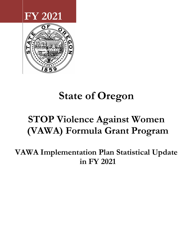## FY 2021



# State of Oregon

## STOP Violence Against Women (VAWA) Formula Grant Program

VAWA Implementation Plan Statistical Update in FY 2021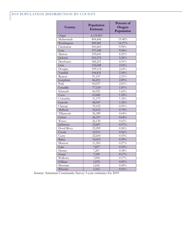#### 2019 POPULATION DISTRIBUTION BY COUNTY

| County     | Population<br><b>Estimate</b> | Percent of<br>Oregon<br>Population |
|------------|-------------------------------|------------------------------------|
| Oregon     | 4,129,803                     |                                    |
| Multnomah  | 804,606                       | 19.48%                             |
| Washington | 589,481                       | 14.27%                             |
| Clackamas  | 410,463                       | 9.94%                              |
| Lane       | 373,340                       | 9.04%                              |
| Marion     | 339,641                       | 8.22%                              |
| Jackson    | 216,574                       | 5.24%                              |
| Deschutes  | 186,251                       | 4.51%                              |
| Linn       | 125,048                       | 3.03%                              |
| Douglas    | 109,114                       | 2.64%                              |
| Yamhill    | 104,831                       | 2.54%                              |
| Benton     | 91,107                        | 2.21%                              |
| Josephine  | 86,251                        | 2.09%                              |
| Polk       | 83,037                        | 2.01%                              |
| Umatilla   | 77,129                        | 1.87%                              |
| Klamath    | 66,921                        | 1.62%                              |
| Coos       | 63,686                        | $1.54\%$                           |
| Columbia   | 51,375                        | 1.24%                              |
| Lincoln    | 48,547                        | 1.18%                              |
| Clatsop    | 39,102                        | 0.95%                              |
| Malheur    | 30,412                        | 0.74%                              |
| Tillamook  | 26,389                        | 0.64%                              |
| Union      | 26,337                        | 0.64%                              |
| Wasco      | 26,130                        | 0.63%                              |
| Jefferson  | 23,607                        | 0.57%                              |
| Hood River | 23,209                        | 0.56%                              |
| Crook      | 23,011                        | 0.56%                              |
| Curry      | 22,650                        | 0.55%                              |
| Baker      | 16,019                        | 0.39%                              |
| Morrow     | 11,303                        | 0.27%                              |
| Lake       | 7,837                         | 0.19%                              |
| Harney     | 7,267                         | 0.18%                              |
| Grant      | 7,189                         | 0.17%                              |
| Wallowa    | 7,004                         | 0.17%                              |
| Gilliam    | 1,878                         | 0.05%                              |
| Sherman    | 1,642                         | 0.04%                              |
| Wheeler    | 1,415                         | 0.03%                              |

Source: American Community Survey 5-year estimates for 2019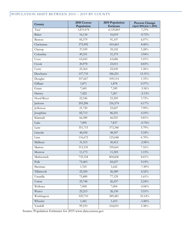### POPULATION SHIFT BETWEEN 2010 – 2019 BY COUNTY

| County       | 2010 Census<br>Population | 2019 Population<br><b>Estimate</b> | <b>Percent Change</b><br>(April 2010-July 1, 2019) |
|--------------|---------------------------|------------------------------------|----------------------------------------------------|
| Total        | 3,831,074                 | 4,129,803                          | 7.23%                                              |
| Baker        | 16,134                    | 16,019                             | $-0.72%$                                           |
| Benton       | 85,579                    | 91,107                             | $6.07\%$                                           |
| Clackamas    | 375,992                   | 410,463                            | 8.40%                                              |
| Clatsop      | 37,039                    | 39,102                             | 5.28%                                              |
| Columbia     | 49,351                    | 51,375                             | 3.94%                                              |
| Coos         | 63,043                    | 63,686                             | 1.01%                                              |
| Crook        | 20,978                    | 23,011                             | 8.83%                                              |
| Curry        | 22,364                    | 22,650                             | 1.26%                                              |
| Deschutes    | 157,733                   | 186,251                            | 15.31%                                             |
| Douglas      | 107,667                   | 109,114                            | 1.33%                                              |
| Gilliam      | 1,871                     | 1,878                              | 0.37%                                              |
| Grant        | 7,445                     | 7,189                              | $-3.56%$                                           |
| Harney       | 7,422                     | 7,267                              | $-2.13%$                                           |
| Hood River   | 22,346                    | 23,209                             | 3.72%                                              |
| Jackson      | 203,206                   | 216,574                            | 6.17%                                              |
| Jefferson    | 21,720                    | 23,607                             | 7.99%                                              |
| Josephine    | 82,713                    | 86,251                             | 4.10%                                              |
| Klamath      | 66,380                    | 66,921                             | 0.81%                                              |
| Lake         | 7,895                     | 7,837                              | $-0.74%$                                           |
| Lane         | 351,715                   | 373,340                            | 5.79%                                              |
| Lincoln      | 46,034                    | 48,547                             | 5.18%                                              |
| Linn         | 116,672                   | 125,048                            | 6.70%                                              |
| Malheur      | 31,313                    | 30,412                             | $-2.96%$                                           |
| Marion       | 315,335                   | 339,641                            | 7.16%                                              |
| Morrow       | 11,173                    | 11,303                             | 1.15%                                              |
| Multnomah    | 735,334                   | 804,606                            | 8.61%                                              |
| ${\rm Polk}$ | 75,403                    | 83,037                             | $9.19\%$                                           |
| Sherman      | 1,765                     | 1,642                              | $-7.49%$                                           |
| Tillamook    | 25,250                    | 26,389                             | 4.32%                                              |
| Umatilla     | 75,889                    | 77,129                             | $1.61\%$                                           |
| Union        | 25,748                    | 26,337                             | 2.24%                                              |
| Wallowa      | 7,008                     | 7,004                              | $-0.06%$                                           |
| Wasco        | 25,213                    | 26,130                             | $3.51\%$                                           |
| Washington   | 529,710                   | 589,481                            | 10.14%                                             |
| Wheeler      | 1,441                     | 1,415                              | $-1.84%$                                           |
| Yamhill      | 99,193                    | 104,831                            | 5.38%                                              |

Source: Population Estimates for 2019 www.data.census.gov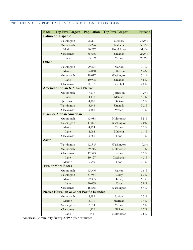### 2019 ETHNICITY POPULATION DISTRIBUTIONS IN OREGON

| Race  | <b>Top Five Largest</b>                  | Population | <b>Top Five Largest</b> | Percent  |
|-------|------------------------------------------|------------|-------------------------|----------|
|       | Latino or Hispanic                       |            |                         |          |
|       | Washington                               | 98,201     | Morrow                  | 36.5%    |
|       | Multnomah                                | 93,276     | Malheur                 | 33.7%    |
|       | Marion                                   |            |                         |          |
|       |                                          | 90,277     | Hood River              | 31.4%    |
|       | Clackamas                                | 35,666     | Umatilla                | 26.8%    |
|       | Lane                                     | 33,109     | Marion                  | 26.6%    |
| Other |                                          |            |                         |          |
|       | Washington                               | 29,894     | Marion                  | $7.1\%$  |
|       | Marion                                   | 24,060     | Jefferson               | 6.4%     |
|       | Multnomah                                | 18,017     | Washington              | $5.1\%$  |
|       | Lane                                     | 10,908     | Umatilla                | 4.8%     |
|       | Clackamas                                | 8,672      | Yamhill                 | 4.6%     |
|       | American Indian & Alaska Native          |            |                         |          |
|       | Multnomah                                | 7,217      | Jefferson               | 17.4%    |
|       | Lane                                     | 4,132      | Klamath                 | 4.3%     |
|       | Jefferson                                | 4,106      | Gilliam                 | $3.9\%$  |
|       | Washington                               | 3,446      | Umatilla                | 3.2%     |
|       | Clackamas                                | 3,181      | Wasco                   | 3.1%     |
|       | <b>Black or African American</b>         |            |                         |          |
|       | Multnomah                                | 43,988     | Multnomah               | $5.5\%$  |
|       | Washington                               | 11,897     | Washington              | 2.0%     |
|       | Marion                                   | 4,194      | Marion                  | $1.2\%$  |
|       | Lane                                     | 4,064      | Malheur                 | $1.1\%$  |
|       | Clackamas                                | 3,865      | Lane                    | $1.1\%$  |
| Asian |                                          |            |                         |          |
|       | Washington                               | 62,545     | Washington              | $10.6\%$ |
|       | Multnomah                                | 59,715     | Multnomah               | 7.4%     |
|       | Clackamas                                | 17,543     | Benton                  | $7.2\%$  |
|       | Lane                                     | 10,127     | Clackamas               | 4.3%     |
|       | Marion                                   | 6,999      | Lane                    | 2.7%     |
|       | <b>Two or More Races</b>                 |            |                         |          |
|       | Multnomah                                | 43,346     | Marion                  | 6.6%     |
|       | Washington                               | 31,984     | Curry                   | 6.3%     |
|       | Marion                                   | 22,385     | Harney                  | 6.3%     |
|       | Lane                                     | 20,059     | $\cos$                  | 5.8%     |
|       | Clackamas                                | 16,885     | Washington              | $5.4\%$  |
|       | Native Hawaiian & Other Pacific Islander |            |                         |          |
|       | Multnomah                                | 5,199      | Union                   | $1.5\%$  |
|       | Marion                                   |            | Sherman                 | 1.4%     |
|       |                                          | 3,019      |                         |          |
|       | Washington                               | 2,514      | Marion                  | $0.9\%$  |
|       | Clackamas                                | 1,126      | Gilliam                 | 0.7%     |
|       | Lane                                     | 948        | Multnomah               | 0.6%     |

American Community Survey 2019 5-year estimates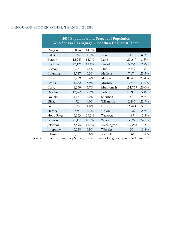### LANGUAGE SPOKEN OTHER THAN ENGLISH

| 2019 Population and Percent of Population<br>Who Speaks a Language Other than English at Home |         |          |            |         |          |  |  |  |  |
|-----------------------------------------------------------------------------------------------|---------|----------|------------|---------|----------|--|--|--|--|
| Oregon                                                                                        | 598,860 | $14.0\%$ |            |         |          |  |  |  |  |
| Baker                                                                                         | 622     | $4.1\%$  | Lake       | 488     | 6.5%     |  |  |  |  |
| Benton                                                                                        | 12,243  | 14.0%    | Lane       | 29,349  | 8.3%     |  |  |  |  |
| Clackamas                                                                                     | 47,121  | 12.1%    | Lincoln    | 3,356   | 7.2%     |  |  |  |  |
| Clatsop                                                                                       | 2,761   | $7.4\%$  | Linn       | 9,249   | 7.9%     |  |  |  |  |
| Columbia                                                                                      | 1,727   | $3.5\%$  | Malheur    | 7,174   | 25.3%    |  |  |  |  |
| Coos                                                                                          | 3,289   | 5.4%     | Marion     | 80,451  | 25.4%    |  |  |  |  |
| Crook                                                                                         | 1,282   | 5.9%     | Morrow     | 3,546   | 33.9%    |  |  |  |  |
| Curry                                                                                         | 1,230   | $5.7\%$  | Multnomah  | 151,759 | $20.0\%$ |  |  |  |  |
| Deschutes                                                                                     | 12,766  | 7.2%     | Polk       | 10,950  | 3.4%     |  |  |  |  |
| Douglas                                                                                       | 4,167   | $4.0\%$  | Sherman    | 54      | $9.7\%$  |  |  |  |  |
| Gilliam                                                                                       | 72      | $4.0\%$  | Tillamook  | 2,445   | 22.9%    |  |  |  |  |
| Grant                                                                                         | 328     | $4.8\%$  | Umatilla   | 16,444  | 5.0%     |  |  |  |  |
| Harney                                                                                        | 325     | $4.7\%$  | Union      | 1,229   | 2.8%     |  |  |  |  |
| Hood River                                                                                    | 6,363   | 29.2%    | Wallowa    | 187     | 15.5%    |  |  |  |  |
| ackson                                                                                        | 21,111  | 10.3%    | Wasco      | 3,797   | 24.8%    |  |  |  |  |
| efferson                                                                                      | 3,595   | 16.2%    | Washington | 137,068 | $4.2\%$  |  |  |  |  |
| osephine                                                                                      | 3,228   | $3.9\%$  | Wheeler    | 55      | 13.8%    |  |  |  |  |
| Klamath                                                                                       | 5,387   | 8.6%     | Yamhill    | 13,642  | 15.4%    |  |  |  |  |

Source: American Community Survey, 5-year estimates Language Spoken at Home, 2019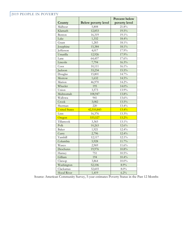### 2019 PEOPLE IN POVERTY

|                      |                            | <b>Percent below</b> |
|----------------------|----------------------------|----------------------|
| County               | <b>Below poverty level</b> | poverty level        |
| Malheur              | 5,808                      | 21.8%                |
| Klamath              | 12,853                     | 19.5%                |
| Benton               | 16,319                     | 19.1%                |
| Lake                 | 1,332                      | 18.4%                |
| Grant                | 1,283                      | 18.1%                |
| Josephine            | 15,384                     | 18.1%                |
| Jefferson            | 4,017                      | 17.9%                |
| Umatilla             | 12,926                     | 17.9%                |
| Lane                 | 64,457                     | 17.6%                |
| Lincoln              | 7,794                      | 16.3%                |
| Coos                 | 10,111                     | 16.1%                |
| Jackson              | 33,234                     | $15.5\%$             |
| Douglas              | 15,801                     | 14.7%                |
| Morrow               | 1,632                      | $14.5\%$             |
| Marion               | 46,970                     | $14.2\%$             |
| Wheeler              | 195                        | $14.0\%$             |
| Union                | 3,573                      | 13.9%                |
| Multnomah            | 108,947                    | 13.8%                |
| Wallowa              | 941                        | 13.6%                |
| Crook                | 3,082                      | $13.5\%$             |
| Sherman              | 220                        | 13.4%                |
| <b>United States</b> | 42,510,843                 | 13.4%                |
| Linn                 | 16,376                     | 13.3%                |
| Oregon               | 533,527                    | 13.2%                |
| Tillamook            | 3,365                      | 13.1%                |
| Polk                 | 10,263                     | 12.6%                |
| Baker                | 1,921                      | 12.4%                |
| Curry                | 2,796                      | 12.4%                |
| Yamhill              | 12,117                     | 12.1%                |
| Columbia             | 5,928                      | $11.7\%$             |
| Wasco                | 2,969                      | 11.6%                |
| Deschutes            | 19,976                     | 10.8%                |
| Harney               | 751                        | $10.5\%$             |
| Gilliam              | 194                        | $10.4\%$             |
| Clatsop              | 3,864                      | $10.0\%$             |
| Washington           | 52,106                     | 8.9%                 |
| Clackamas            | 32,603                     | $8.0\%$              |
| <b>Hood River</b>    | 1,419                      | 6.2%                 |

Source: American Community Survey, 5-year estimates Poverty Status in the Past 12 Months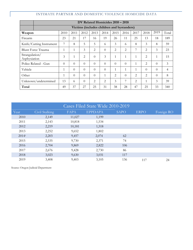#### INTIMATE PARTNER AND DOMESTIC VIOLENCE HOMICIDE DATA

|                                | DV Related Homicides 2010 - 2018           |              |          |          |          |                |          |                |                |                |          |                |
|--------------------------------|--------------------------------------------|--------------|----------|----------|----------|----------------|----------|----------------|----------------|----------------|----------|----------------|
|                                | Victims (includes children and bystanders) |              |          |          |          |                |          |                |                |                |          |                |
| Weapon                         |                                            | 2010         | 2011     | 2012     | 2013     | 2014           | 2015     | 2016           | 2017           | 2018           | 2019     | Total          |
| Firearm                        |                                            | 23           | 21       | 17       | 16       | 19             | 26       | 11             | 25             | 13             | 18       | 189            |
|                                | Knife/Cutting Instrument                   | 7            | 8        | 5        | 5        | 6              | 3        | 6              | 8              | 3              | 8        | 59             |
|                                | <b>Blunt Force Trauma</b>                  | 1            | 1        | 3        | 2        | $\Omega$       | 2        | $\overline{2}$ | 7              | 2              | 3        | 23             |
| Strangulation/<br>Asphyxiation |                                            | 3            | 1        | 2        | $\theta$ | 3              | 1        | $\mathbf{1}$   | 1              | $\overline{2}$ | 1        | 15             |
|                                | Police Related - Gun                       | $\Omega$     | $\Omega$ | $\theta$ | $\theta$ | $\Omega$       | $\Omega$ | $\Omega$       | 1              | 2              | $\theta$ | $\mathfrak{Z}$ |
| Vehicle                        |                                            | $\mathbf{1}$ | $\Omega$ | $\theta$ | $\theta$ | $\Omega$       | 1        | $\mathbf{1}$   | 1              | $\theta$       | $\theta$ | $\overline{4}$ |
| Other                          |                                            | $\mathbf{1}$ | $\Omega$ | $\theta$ | $\theta$ | 1              | 2        | $\Omega$       | 2              | 2              | $\theta$ | 8              |
|                                | Unknown/undetermined                       | 13           | 6        | $\theta$ | 2        | $\overline{2}$ | 3        | 7              | $\overline{2}$ | 1              | 3        | 39             |
| Total                          |                                            | 49           | 37       | 27       | 25       | 31             | 38       | 28             | 47             | 25             | 33       | 340            |

| Cases Filed State Wide 2010-2019 |                |        |                |             |             |            |  |  |  |  |  |
|----------------------------------|----------------|--------|----------------|-------------|-------------|------------|--|--|--|--|--|
| Year                             | Civil Stalking | FAPA   | <b>EPPDAPA</b> | <b>SAPO</b> | <b>ERPO</b> | Foreign RO |  |  |  |  |  |
| 2010                             | 2,149          | 11,027 | 1,199          |             |             |            |  |  |  |  |  |
| 2011                             | 2,143          | 10,818 | 1,534          |             |             |            |  |  |  |  |  |
| 2012                             | 2,219          | 10,181 | 1,518          |             |             |            |  |  |  |  |  |
| 2013                             | 2,252          | 9,652  | 1,802          |             |             |            |  |  |  |  |  |
| 2014 <sup>1</sup>                | 2,203          | 9,457  | 2,074          | 62          |             |            |  |  |  |  |  |
| 2015                             | 2,535          | 9,730  | 2,371          | 74          |             |            |  |  |  |  |  |
| 2016                             | 2,704          | 9,869  | 2,822          | 106         |             |            |  |  |  |  |  |
| 2017                             | 2,676          | 9,428  | 2,730          | 86          |             |            |  |  |  |  |  |
| 2018                             | 3,023          | 9,630  | 3,031          | 117         |             |            |  |  |  |  |  |
| 2019                             | 3,408          | 9,403  | 3,105          | 136         | 117         | 24         |  |  |  |  |  |

Source: Oregon Judicial Department